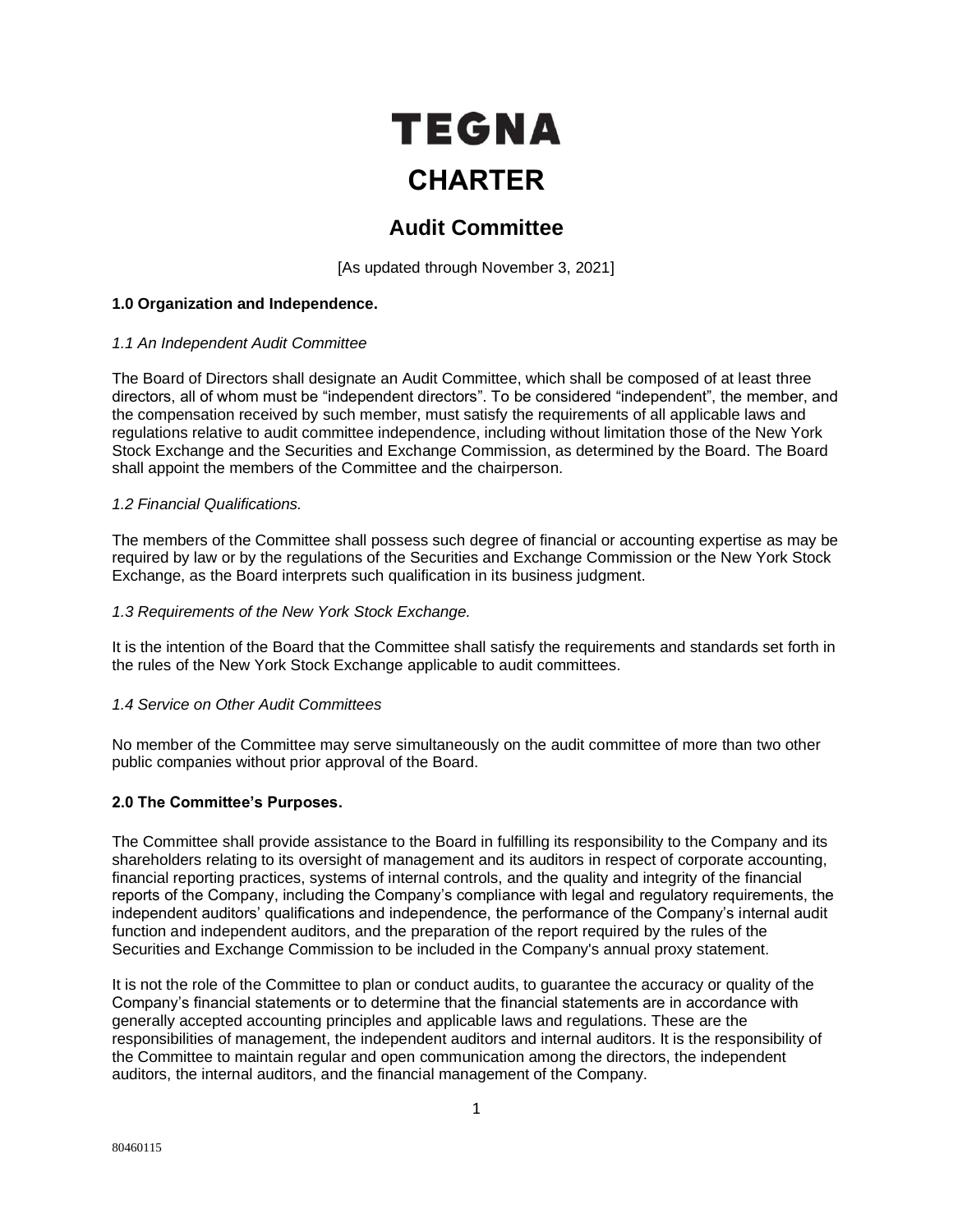# TEGNA **CHARTER**

# **Audit Committee**

[As updated through November 3, 2021]

# **1.0 Organization and Independence.**

# *1.1 An Independent Audit Committee*

The Board of Directors shall designate an Audit Committee, which shall be composed of at least three directors, all of whom must be "independent directors". To be considered "independent", the member, and the compensation received by such member, must satisfy the requirements of all applicable laws and regulations relative to audit committee independence, including without limitation those of the New York Stock Exchange and the Securities and Exchange Commission, as determined by the Board. The Board shall appoint the members of the Committee and the chairperson.

# *1.2 Financial Qualifications.*

The members of the Committee shall possess such degree of financial or accounting expertise as may be required by law or by the regulations of the Securities and Exchange Commission or the New York Stock Exchange, as the Board interprets such qualification in its business judgment.

# *1.3 Requirements of the New York Stock Exchange.*

It is the intention of the Board that the Committee shall satisfy the requirements and standards set forth in the rules of the New York Stock Exchange applicable to audit committees.

# *1.4 Service on Other Audit Committees*

No member of the Committee may serve simultaneously on the audit committee of more than two other public companies without prior approval of the Board.

# **2.0 The Committee's Purposes.**

The Committee shall provide assistance to the Board in fulfilling its responsibility to the Company and its shareholders relating to its oversight of management and its auditors in respect of corporate accounting, financial reporting practices, systems of internal controls, and the quality and integrity of the financial reports of the Company, including the Company's compliance with legal and regulatory requirements, the independent auditors' qualifications and independence, the performance of the Company's internal audit function and independent auditors, and the preparation of the report required by the rules of the Securities and Exchange Commission to be included in the Company's annual proxy statement.

It is not the role of the Committee to plan or conduct audits, to guarantee the accuracy or quality of the Company's financial statements or to determine that the financial statements are in accordance with generally accepted accounting principles and applicable laws and regulations. These are the responsibilities of management, the independent auditors and internal auditors. It is the responsibility of the Committee to maintain regular and open communication among the directors, the independent auditors, the internal auditors, and the financial management of the Company.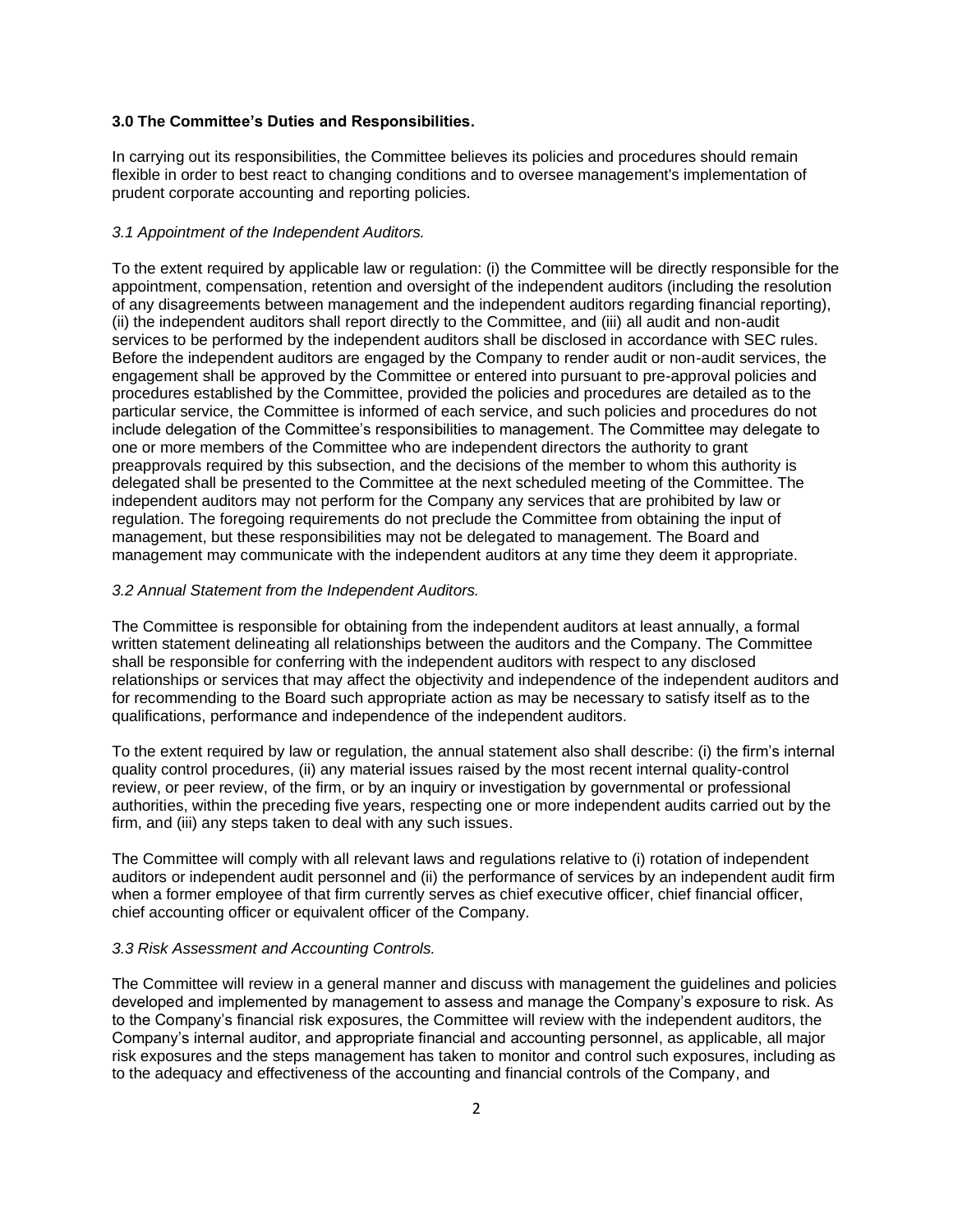#### **3.0 The Committee's Duties and Responsibilities.**

In carrying out its responsibilities, the Committee believes its policies and procedures should remain flexible in order to best react to changing conditions and to oversee management's implementation of prudent corporate accounting and reporting policies.

#### *3.1 Appointment of the Independent Auditors.*

To the extent required by applicable law or regulation: (i) the Committee will be directly responsible for the appointment, compensation, retention and oversight of the independent auditors (including the resolution of any disagreements between management and the independent auditors regarding financial reporting), (ii) the independent auditors shall report directly to the Committee, and (iii) all audit and non-audit services to be performed by the independent auditors shall be disclosed in accordance with SEC rules. Before the independent auditors are engaged by the Company to render audit or non-audit services, the engagement shall be approved by the Committee or entered into pursuant to pre-approval policies and procedures established by the Committee, provided the policies and procedures are detailed as to the particular service, the Committee is informed of each service, and such policies and procedures do not include delegation of the Committee's responsibilities to management. The Committee may delegate to one or more members of the Committee who are independent directors the authority to grant preapprovals required by this subsection, and the decisions of the member to whom this authority is delegated shall be presented to the Committee at the next scheduled meeting of the Committee. The independent auditors may not perform for the Company any services that are prohibited by law or regulation. The foregoing requirements do not preclude the Committee from obtaining the input of management, but these responsibilities may not be delegated to management. The Board and management may communicate with the independent auditors at any time they deem it appropriate.

#### *3.2 Annual Statement from the Independent Auditors.*

The Committee is responsible for obtaining from the independent auditors at least annually, a formal written statement delineating all relationships between the auditors and the Company. The Committee shall be responsible for conferring with the independent auditors with respect to any disclosed relationships or services that may affect the objectivity and independence of the independent auditors and for recommending to the Board such appropriate action as may be necessary to satisfy itself as to the qualifications, performance and independence of the independent auditors.

To the extent required by law or regulation, the annual statement also shall describe: (i) the firm's internal quality control procedures, (ii) any material issues raised by the most recent internal quality-control review, or peer review, of the firm, or by an inquiry or investigation by governmental or professional authorities, within the preceding five years, respecting one or more independent audits carried out by the firm, and (iii) any steps taken to deal with any such issues.

The Committee will comply with all relevant laws and regulations relative to (i) rotation of independent auditors or independent audit personnel and (ii) the performance of services by an independent audit firm when a former employee of that firm currently serves as chief executive officer, chief financial officer, chief accounting officer or equivalent officer of the Company.

# *3.3 Risk Assessment and Accounting Controls.*

The Committee will review in a general manner and discuss with management the guidelines and policies developed and implemented by management to assess and manage the Company's exposure to risk. As to the Company's financial risk exposures, the Committee will review with the independent auditors, the Company's internal auditor, and appropriate financial and accounting personnel, as applicable, all major risk exposures and the steps management has taken to monitor and control such exposures, including as to the adequacy and effectiveness of the accounting and financial controls of the Company, and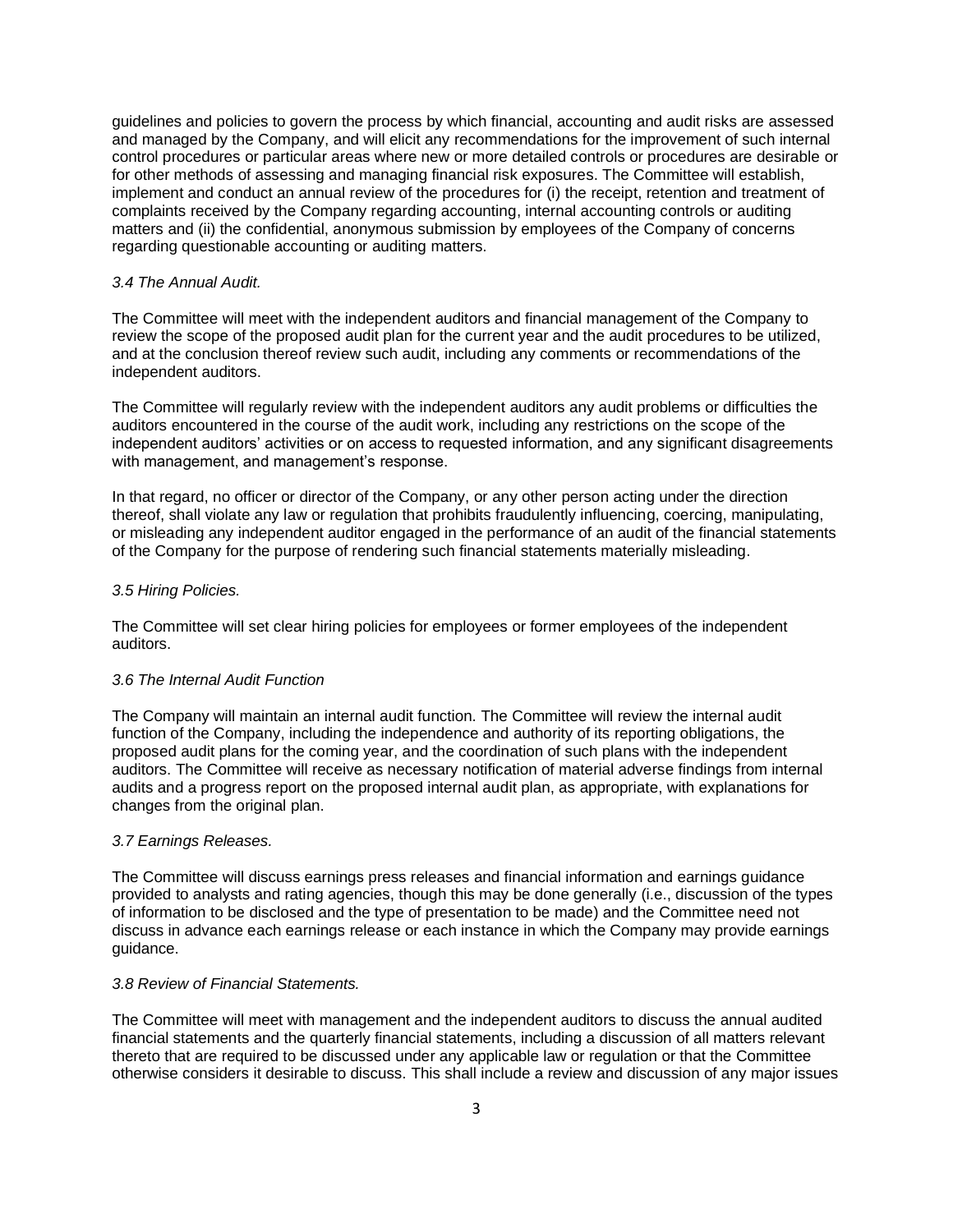guidelines and policies to govern the process by which financial, accounting and audit risks are assessed and managed by the Company, and will elicit any recommendations for the improvement of such internal control procedures or particular areas where new or more detailed controls or procedures are desirable or for other methods of assessing and managing financial risk exposures. The Committee will establish, implement and conduct an annual review of the procedures for (i) the receipt, retention and treatment of complaints received by the Company regarding accounting, internal accounting controls or auditing matters and (ii) the confidential, anonymous submission by employees of the Company of concerns regarding questionable accounting or auditing matters.

#### *3.4 The Annual Audit.*

The Committee will meet with the independent auditors and financial management of the Company to review the scope of the proposed audit plan for the current year and the audit procedures to be utilized, and at the conclusion thereof review such audit, including any comments or recommendations of the independent auditors.

The Committee will regularly review with the independent auditors any audit problems or difficulties the auditors encountered in the course of the audit work, including any restrictions on the scope of the independent auditors' activities or on access to requested information, and any significant disagreements with management, and management's response.

In that regard, no officer or director of the Company, or any other person acting under the direction thereof, shall violate any law or regulation that prohibits fraudulently influencing, coercing, manipulating, or misleading any independent auditor engaged in the performance of an audit of the financial statements of the Company for the purpose of rendering such financial statements materially misleading.

#### *3.5 Hiring Policies.*

The Committee will set clear hiring policies for employees or former employees of the independent auditors.

#### *3.6 The Internal Audit Function*

The Company will maintain an internal audit function. The Committee will review the internal audit function of the Company, including the independence and authority of its reporting obligations, the proposed audit plans for the coming year, and the coordination of such plans with the independent auditors. The Committee will receive as necessary notification of material adverse findings from internal audits and a progress report on the proposed internal audit plan, as appropriate, with explanations for changes from the original plan.

#### *3.7 Earnings Releases.*

The Committee will discuss earnings press releases and financial information and earnings guidance provided to analysts and rating agencies, though this may be done generally (i.e., discussion of the types of information to be disclosed and the type of presentation to be made) and the Committee need not discuss in advance each earnings release or each instance in which the Company may provide earnings guidance.

# *3.8 Review of Financial Statements.*

The Committee will meet with management and the independent auditors to discuss the annual audited financial statements and the quarterly financial statements, including a discussion of all matters relevant thereto that are required to be discussed under any applicable law or regulation or that the Committee otherwise considers it desirable to discuss. This shall include a review and discussion of any major issues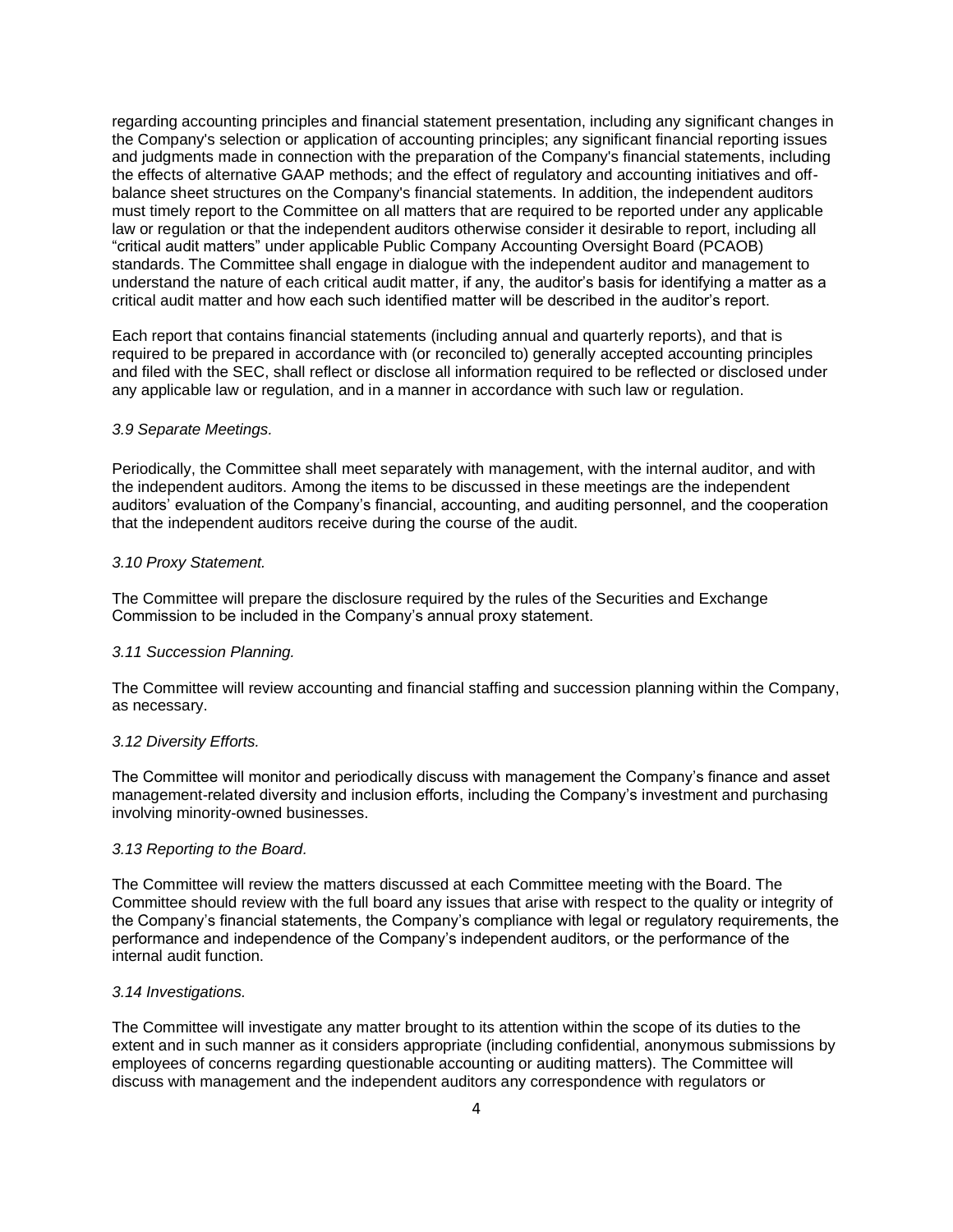regarding accounting principles and financial statement presentation, including any significant changes in the Company's selection or application of accounting principles; any significant financial reporting issues and judgments made in connection with the preparation of the Company's financial statements, including the effects of alternative GAAP methods; and the effect of regulatory and accounting initiatives and offbalance sheet structures on the Company's financial statements. In addition, the independent auditors must timely report to the Committee on all matters that are required to be reported under any applicable law or regulation or that the independent auditors otherwise consider it desirable to report, including all "critical audit matters" under applicable Public Company Accounting Oversight Board (PCAOB) standards. The Committee shall engage in dialogue with the independent auditor and management to understand the nature of each critical audit matter, if any, the auditor's basis for identifying a matter as a critical audit matter and how each such identified matter will be described in the auditor's report.

Each report that contains financial statements (including annual and quarterly reports), and that is required to be prepared in accordance with (or reconciled to) generally accepted accounting principles and filed with the SEC, shall reflect or disclose all information required to be reflected or disclosed under any applicable law or regulation, and in a manner in accordance with such law or regulation.

#### *3.9 Separate Meetings.*

Periodically, the Committee shall meet separately with management, with the internal auditor, and with the independent auditors. Among the items to be discussed in these meetings are the independent auditors' evaluation of the Company's financial, accounting, and auditing personnel, and the cooperation that the independent auditors receive during the course of the audit.

#### *3.10 Proxy Statement.*

The Committee will prepare the disclosure required by the rules of the Securities and Exchange Commission to be included in the Company's annual proxy statement.

#### *3.11 Succession Planning.*

The Committee will review accounting and financial staffing and succession planning within the Company, as necessary.

#### *3.12 Diversity Efforts.*

The Committee will monitor and periodically discuss with management the Company's finance and asset management-related diversity and inclusion efforts, including the Company's investment and purchasing involving minority-owned businesses.

#### *3.13 Reporting to the Board.*

The Committee will review the matters discussed at each Committee meeting with the Board. The Committee should review with the full board any issues that arise with respect to the quality or integrity of the Company's financial statements, the Company's compliance with legal or regulatory requirements, the performance and independence of the Company's independent auditors, or the performance of the internal audit function.

# *3.14 Investigations.*

The Committee will investigate any matter brought to its attention within the scope of its duties to the extent and in such manner as it considers appropriate (including confidential, anonymous submissions by employees of concerns regarding questionable accounting or auditing matters). The Committee will discuss with management and the independent auditors any correspondence with regulators or